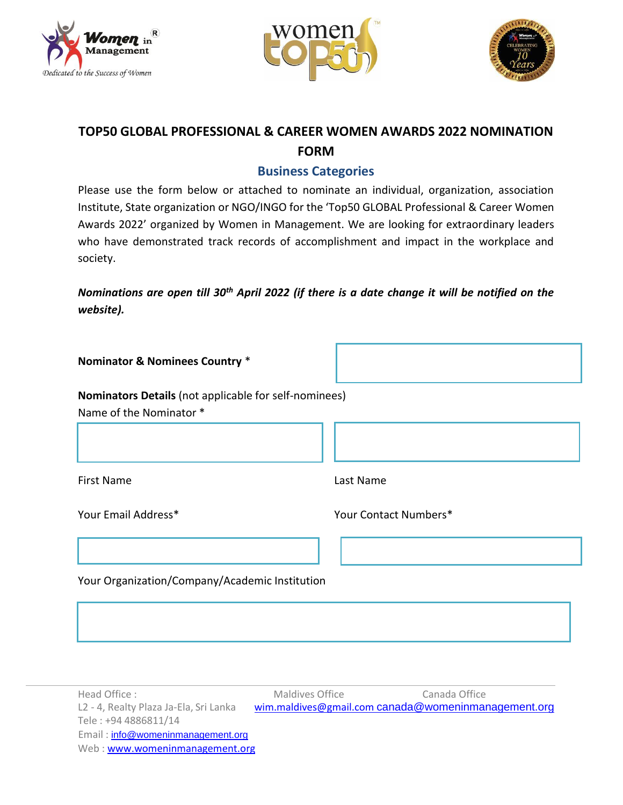





## **TOP50 GLOBAL PROFESSIONAL & CAREER WOMEN AWARDS 2022 NOMINATION FORM**

## **Business Categories**

Please use the form below or attached to nominate an individual, organization, association Institute, State organization or NGO/INGO for the 'Top50 GLOBAL Professional & Career Women Awards 2022' organized by Women in Management. We are looking for extraordinary leaders who have demonstrated track records of accomplishment and impact in the workplace and society.

*Nominations are open till 30th April 2022 (if there is a date change it will be notified on the website).*

**Nominators Details** (not applicable for self-nominees) Name of the Nominator \*

First Name Last Name

Your Email Address\* Your Contact Numbers\*

Your Organization/Company/Academic Institution

| Head Office:                           | Maldives Office | Canada Office                                       |
|----------------------------------------|-----------------|-----------------------------------------------------|
| L2 - 4, Realty Plaza Ja-Ela, Sri Lanka |                 | wim.maldives@gmail.com canada@womeninmanagement.org |
| Tele: +94 4886811/14                   |                 |                                                     |
| Email: info@womeninmanagement.org      |                 |                                                     |
| Web: www.womeninmanagement.org         |                 |                                                     |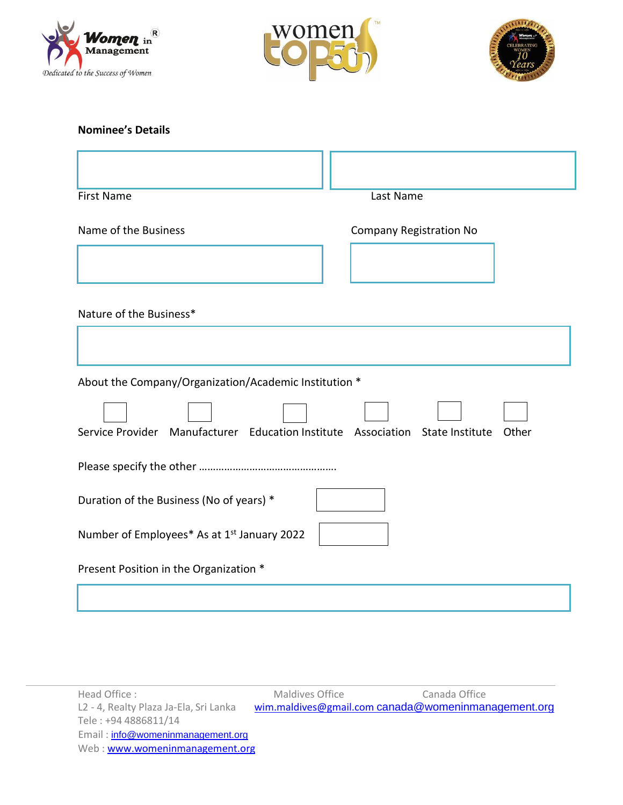





## **Nominee's Details**

| <b>First Name</b>                                       | Last Name                                                             |
|---------------------------------------------------------|-----------------------------------------------------------------------|
| Name of the Business                                    | <b>Company Registration No</b>                                        |
|                                                         |                                                                       |
| Nature of the Business*                                 |                                                                       |
|                                                         |                                                                       |
| About the Company/Organization/Academic Institution *   |                                                                       |
| Service Provider                                        | Manufacturer Education Institute Association State Institute<br>Other |
|                                                         |                                                                       |
| Duration of the Business (No of years) *                |                                                                       |
| Number of Employees* As at 1 <sup>st</sup> January 2022 |                                                                       |
| Present Position in the Organization *                  |                                                                       |
|                                                         |                                                                       |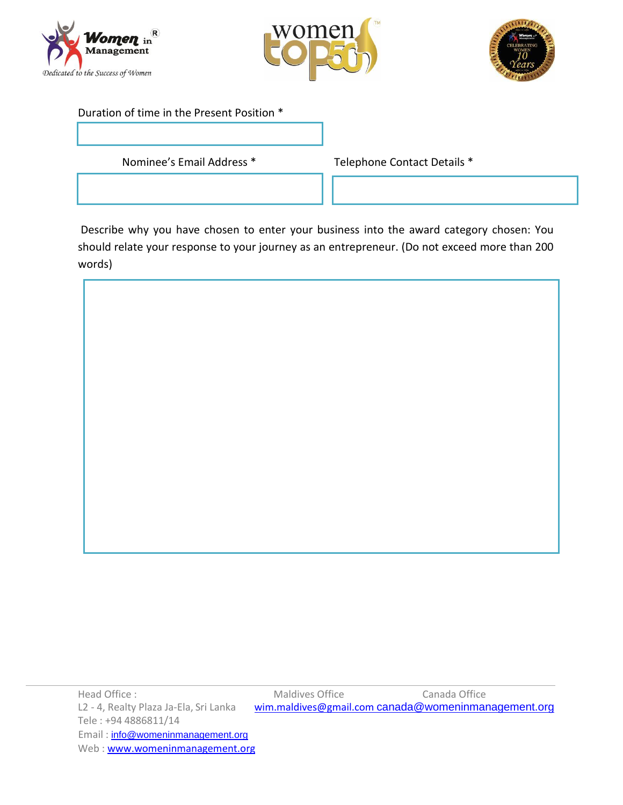





## Duration of time in the Present Position \*

Nominee's Email Address \* Telephone Contact Details \*

Describe why you have chosen to enter your business into the award category chosen: You should relate your response to your journey as an entrepreneur. (Do not exceed more than 200 words)



Head Office : Canada Office :<br>L2 - 4, Realty Plaza Ja-Ela, Sri Lanka wim.maldives@gmail.com canada@womeninmar [wim.maldives@gmail.com](mailto:wim.maldives@gmail.com) [canada@womeninmanagement.org](mailto:canada@womeninmanagement.org) Tele : +94 4886811/14 Email: [info@womeninmanagement.org](mailto:info@womeninmanagement.org) Web [: www.womeninmanagement.org](http://www.womeninmanagement.org/)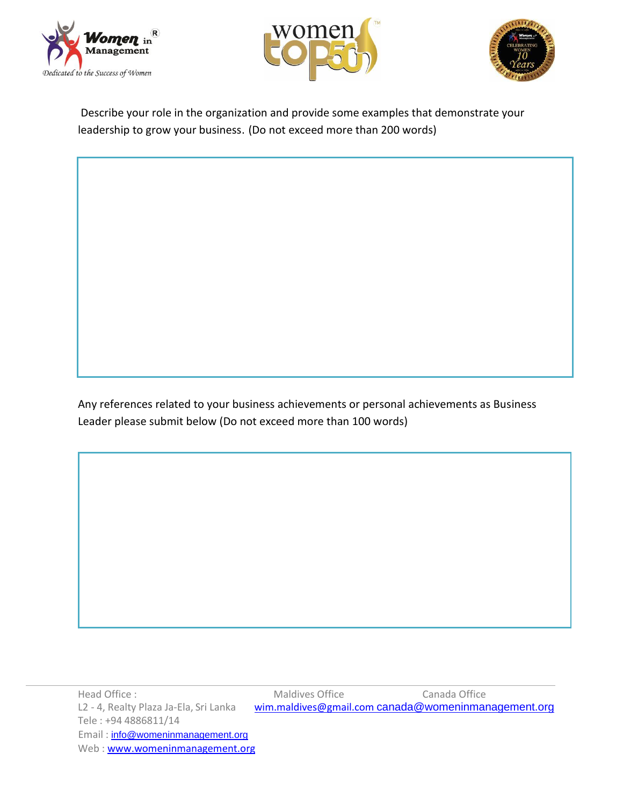





Describe your role in the organization and provide some examples that demonstrate your leadership to grow your business. (Do not exceed more than 200 words)

Any references related to your business achievements or personal achievements as Business Leader please submit below (Do not exceed more than 100 words)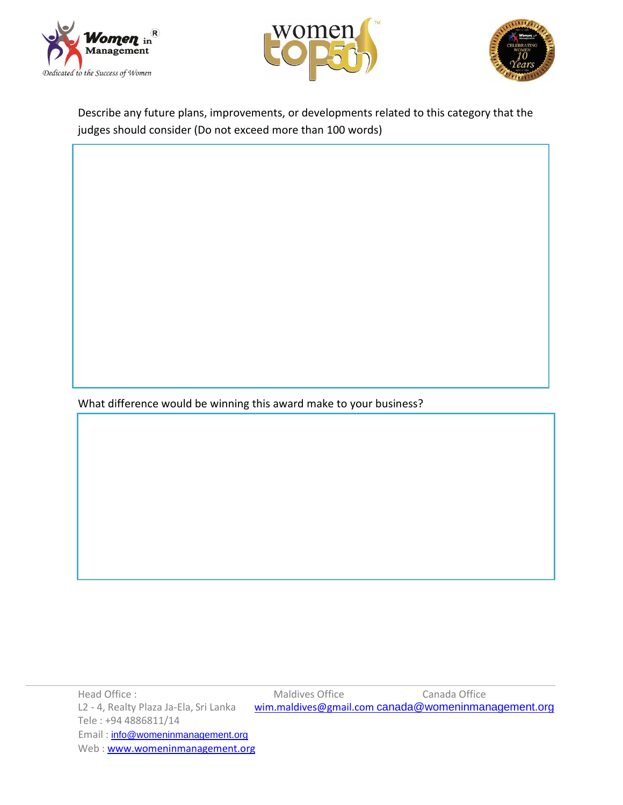





Describe any future plans, improvements, or developments related to this category that the judges should consider (Do not exceed more than 100 words)

What difference would be winning this award make to your business?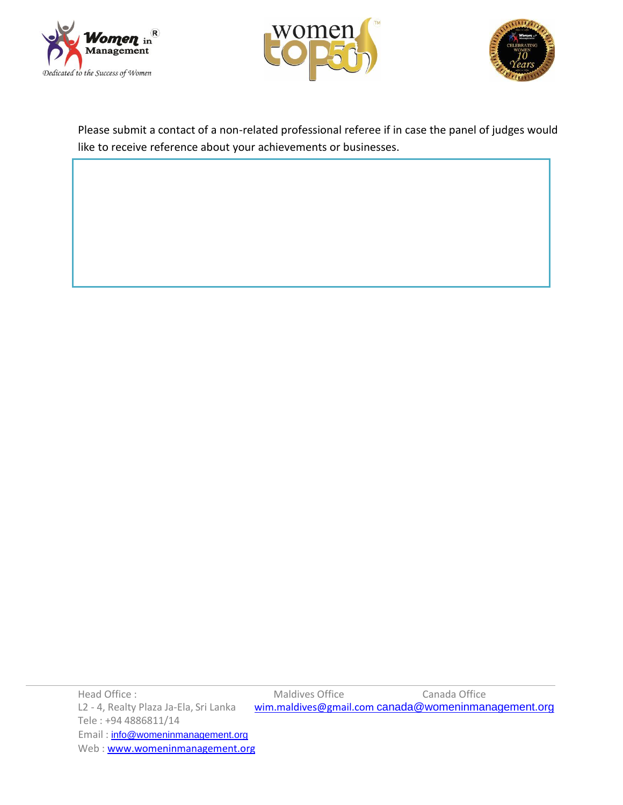





Please submit a contact of a non-related professional referee if in case the panel of judges would like to receive reference about your achievements or businesses.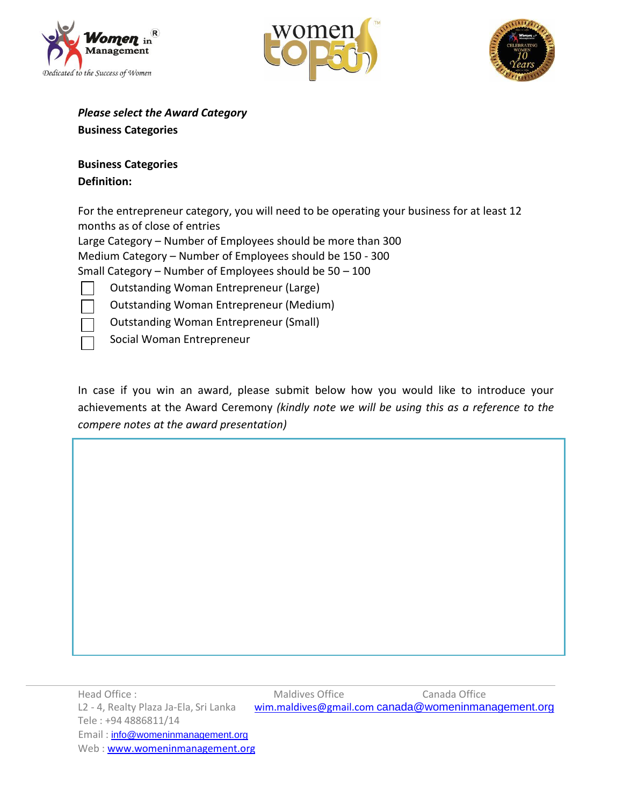





*Please select the Award Category*

**Business Categories**

**Business Categories Definition:**

For the entrepreneur category, you will need to be operating your business for at least 12 months as of close of entries

Large Category – Number of Employees should be more than 300

Medium Category – Number of Employees should be 150 - 300

Small Category – Number of Employees should be 50 – 100

Outstanding Woman Entrepreneur (Large)

Outstanding Woman Entrepreneur (Medium)

Outstanding Woman Entrepreneur (Small)

Social Woman Entrepreneur

In case if you win an award, please submit below how you would like to introduce your achievements at the Award Ceremony *(kindly note we will be using this as a reference to the compere notes at the award presentation)*

Head Office : Maldives Office Canada Office L2 - 4, Realty Plaza Ja-Ela, Sri Lanka [wim.maldives@gmail.com](mailto:wim.maldives@gmail.com) [canada@womeninmanagement.org](mailto:canada@womeninmanagement.org) Tele : +94 4886811/14 Email : [info@womeninmanagement.org](mailto:info@womeninmanagement.org) Web [: www.womeninmanagement.org](http://www.womeninmanagement.org/)